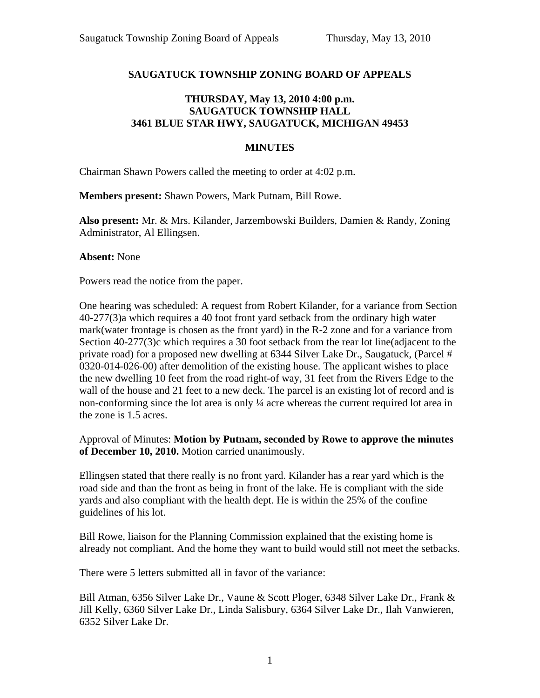## **SAUGATUCK TOWNSHIP ZONING BOARD OF APPEALS**

## **THURSDAY, May 13, 2010 4:00 p.m. SAUGATUCK TOWNSHIP HALL 3461 BLUE STAR HWY, SAUGATUCK, MICHIGAN 49453**

## **MINUTES**

Chairman Shawn Powers called the meeting to order at 4:02 p.m.

**Members present:** Shawn Powers, Mark Putnam, Bill Rowe.

**Also present:** Mr. & Mrs. Kilander, Jarzembowski Builders, Damien & Randy, Zoning Administrator, Al Ellingsen.

**Absent:** None

Powers read the notice from the paper.

One hearing was scheduled: A request from Robert Kilander, for a variance from Section 40-277(3)a which requires a 40 foot front yard setback from the ordinary high water mark(water frontage is chosen as the front yard) in the R-2 zone and for a variance from Section 40-277(3)c which requires a 30 foot setback from the rear lot line(adjacent to the private road) for a proposed new dwelling at 6344 Silver Lake Dr., Saugatuck, (Parcel # 0320-014-026-00) after demolition of the existing house. The applicant wishes to place the new dwelling 10 feet from the road right-of way, 31 feet from the Rivers Edge to the wall of the house and 21 feet to a new deck. The parcel is an existing lot of record and is non-conforming since the lot area is only ¼ acre whereas the current required lot area in the zone is 1.5 acres.

Approval of Minutes: **Motion by Putnam, seconded by Rowe to approve the minutes of December 10, 2010.** Motion carried unanimously.

Ellingsen stated that there really is no front yard. Kilander has a rear yard which is the road side and than the front as being in front of the lake. He is compliant with the side yards and also compliant with the health dept. He is within the 25% of the confine guidelines of his lot.

Bill Rowe, liaison for the Planning Commission explained that the existing home is already not compliant. And the home they want to build would still not meet the setbacks.

There were 5 letters submitted all in favor of the variance:

Bill Atman, 6356 Silver Lake Dr., Vaune & Scott Ploger, 6348 Silver Lake Dr., Frank & Jill Kelly, 6360 Silver Lake Dr., Linda Salisbury, 6364 Silver Lake Dr., Ilah Vanwieren, 6352 Silver Lake Dr.